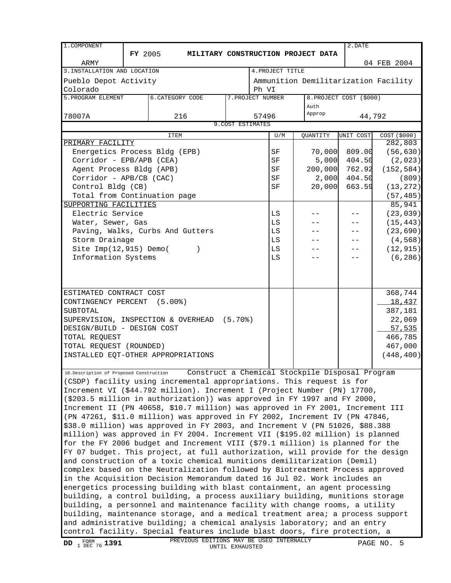| 1. COMPONENT                                                                  |                                                                                                                                                             |                                                                                          |                   |                   |                                      | 2.DATE                  |              |
|-------------------------------------------------------------------------------|-------------------------------------------------------------------------------------------------------------------------------------------------------------|------------------------------------------------------------------------------------------|-------------------|-------------------|--------------------------------------|-------------------------|--------------|
|                                                                               | <b>FY</b> 2005                                                                                                                                              |                                                                                          |                   |                   | MILITARY CONSTRUCTION PROJECT DATA   |                         |              |
| ARMY                                                                          |                                                                                                                                                             |                                                                                          |                   |                   |                                      |                         | 04 FEB 2004  |
| 3. INSTALLATION AND LOCATION                                                  |                                                                                                                                                             |                                                                                          |                   | 4. PROJECT TITLE  |                                      |                         |              |
| Pueblo Depot Activity                                                         |                                                                                                                                                             |                                                                                          |                   |                   | Ammunition Demilitarization Facility |                         |              |
| Colorado                                                                      |                                                                                                                                                             |                                                                                          |                   | Ph VI             |                                      |                         |              |
| 5. PROGRAM ELEMENT                                                            |                                                                                                                                                             | <b>6. CATEGORY CODE</b>                                                                  |                   | 7. PROJECT NUMBER |                                      | 8. PROJECT COST (\$000) |              |
|                                                                               |                                                                                                                                                             |                                                                                          |                   |                   | Auth                                 |                         |              |
| 78007A                                                                        |                                                                                                                                                             | 216                                                                                      |                   | 57496             | Approp                               | 44,792                  |              |
|                                                                               |                                                                                                                                                             |                                                                                          | 9. COST ESTIMATES |                   |                                      |                         |              |
|                                                                               |                                                                                                                                                             | <b>ITEM</b>                                                                              |                   | U/M               | QUANTITY                             | UNIT COST               | COST (\$000) |
| PRIMARY FACILITY                                                              |                                                                                                                                                             |                                                                                          |                   |                   |                                      |                         | 282,803      |
| Energetics Process Bldg (EPB)                                                 |                                                                                                                                                             |                                                                                          |                   | SF                | 70,000                               | 809.00                  | (56, 630)    |
| Corridor - EPB/APB (CEA)                                                      |                                                                                                                                                             |                                                                                          |                   | SF                | 5,000                                | 404.50                  | (2,023)      |
| Agent Process Bldg (APB)                                                      |                                                                                                                                                             |                                                                                          |                   | SF                | 200,000                              | 762.92                  | (152, 584)   |
| Corridor - APB/CB (CAC)                                                       |                                                                                                                                                             |                                                                                          |                   | SF                | 2,000                                | 404.50                  | (809)        |
| Control Bldg (CB)                                                             |                                                                                                                                                             |                                                                                          |                   | SF                | 20,000                               | 663.59                  | (13, 272)    |
| Total from Continuation page                                                  |                                                                                                                                                             |                                                                                          |                   |                   |                                      |                         | (57, 485)    |
| SUPPORTING FACILITIES                                                         |                                                                                                                                                             |                                                                                          |                   |                   |                                      |                         | 85,941       |
| Electric Service                                                              |                                                                                                                                                             |                                                                                          |                   | LS                |                                      |                         | (23, 039)    |
| Water, Sewer, Gas                                                             |                                                                                                                                                             |                                                                                          |                   | $\mathtt{LS}$     |                                      |                         | (15, 443)    |
|                                                                               |                                                                                                                                                             | Paving, Walks, Curbs And Gutters                                                         |                   | LS                |                                      |                         | (23, 690)    |
| Storm Drainage                                                                |                                                                                                                                                             |                                                                                          |                   | LS                |                                      |                         | (4, 568)     |
| Site Imp(12,915) Demo(                                                        |                                                                                                                                                             |                                                                                          |                   | LS                |                                      | - -                     | (12, 915)    |
| Information Systems                                                           |                                                                                                                                                             |                                                                                          |                   | LS                |                                      |                         | (6, 286)     |
|                                                                               |                                                                                                                                                             |                                                                                          |                   |                   |                                      |                         |              |
|                                                                               |                                                                                                                                                             |                                                                                          |                   |                   |                                      |                         |              |
|                                                                               |                                                                                                                                                             |                                                                                          |                   |                   |                                      |                         |              |
| ESTIMATED CONTRACT COST                                                       |                                                                                                                                                             |                                                                                          |                   |                   |                                      |                         | 368,744      |
| CONTINGENCY PERCENT (5.00%)                                                   |                                                                                                                                                             |                                                                                          |                   |                   |                                      |                         | 18,437       |
| SUBTOTAL                                                                      |                                                                                                                                                             |                                                                                          |                   |                   |                                      |                         | 387,181      |
|                                                                               |                                                                                                                                                             | SUPERVISION, INSPECTION & OVERHEAD (5.70%)                                               |                   |                   |                                      |                         | 22,069       |
| DESIGN/BUILD - DESIGN COST                                                    |                                                                                                                                                             |                                                                                          |                   |                   |                                      |                         | 57,535       |
| TOTAL REQUEST                                                                 |                                                                                                                                                             |                                                                                          |                   |                   |                                      |                         | 466,785      |
| TOTAL REQUEST (ROUNDED)                                                       |                                                                                                                                                             |                                                                                          |                   |                   |                                      |                         | 467,000      |
|                                                                               |                                                                                                                                                             | INSTALLED EQT-OTHER APPROPRIATIONS                                                       |                   |                   |                                      |                         | (448, 400)   |
|                                                                               |                                                                                                                                                             |                                                                                          |                   |                   |                                      |                         |              |
|                                                                               |                                                                                                                                                             | 10. Description of Proposed Construction Construct a Chemical Stockpile Disposal Program |                   |                   |                                      |                         |              |
|                                                                               |                                                                                                                                                             | (CSDP) facility using incremental appropriations. This request is for                    |                   |                   |                                      |                         |              |
|                                                                               |                                                                                                                                                             | Increment VI (\$44.792 million). Increment I (Project Number (PN) 17700,                 |                   |                   |                                      |                         |              |
|                                                                               |                                                                                                                                                             | $($ \$203.5 million in authorization)) was approved in FY 1997 and FY 2000,              |                   |                   |                                      |                         |              |
|                                                                               |                                                                                                                                                             | Increment II (PN 40658, \$10.7 million) was approved in FY 2001, Increment III           |                   |                   |                                      |                         |              |
|                                                                               |                                                                                                                                                             | (PN 47261, \$11.0 million) was approved in FY 2002, Increment IV (PN 47846,              |                   |                   |                                      |                         |              |
|                                                                               |                                                                                                                                                             | \$38.0 million) was approved in FY 2003, and Increment V (PN 51026, \$88.388             |                   |                   |                                      |                         |              |
|                                                                               |                                                                                                                                                             | million) was approved in FY 2004. Increment VII (\$195.02 million) is planned            |                   |                   |                                      |                         |              |
|                                                                               |                                                                                                                                                             | for the FY 2006 budget and Increment VIII (\$79.1 million) is planned for the            |                   |                   |                                      |                         |              |
|                                                                               |                                                                                                                                                             | FY 07 budget. This project, at full authorization, will provide for the design           |                   |                   |                                      |                         |              |
| and construction of a toxic chemical munitions demilitarization (Demil)       |                                                                                                                                                             |                                                                                          |                   |                   |                                      |                         |              |
| complex based on the Neutralization followed by Biotreatment Process approved |                                                                                                                                                             |                                                                                          |                   |                   |                                      |                         |              |
| in the Acquisition Decision Memorandum dated 16 Jul 02. Work includes an      |                                                                                                                                                             |                                                                                          |                   |                   |                                      |                         |              |
|                                                                               |                                                                                                                                                             |                                                                                          |                   |                   |                                      |                         |              |
|                                                                               | energetics processing building with blast containment, an agent processing<br>building, a control building, a process auxiliary building, munitions storage |                                                                                          |                   |                   |                                      |                         |              |
|                                                                               |                                                                                                                                                             | building, a personnel and maintenance facility with change rooms, a utility              |                   |                   |                                      |                         |              |
|                                                                               |                                                                                                                                                             | building, maintenance storage, and a medical treatment area; a process support           |                   |                   |                                      |                         |              |
|                                                                               |                                                                                                                                                             | and administrative building; a chemical analysis laboratory; and an entry                |                   |                   |                                      |                         |              |
|                                                                               |                                                                                                                                                             | control facility. Special features include blast doors, fire protection, a               |                   |                   |                                      |                         |              |
|                                                                               |                                                                                                                                                             | PREVIOUS EDITIONS MAY BE USED INTERNALLY                                                 |                   |                   |                                      |                         |              |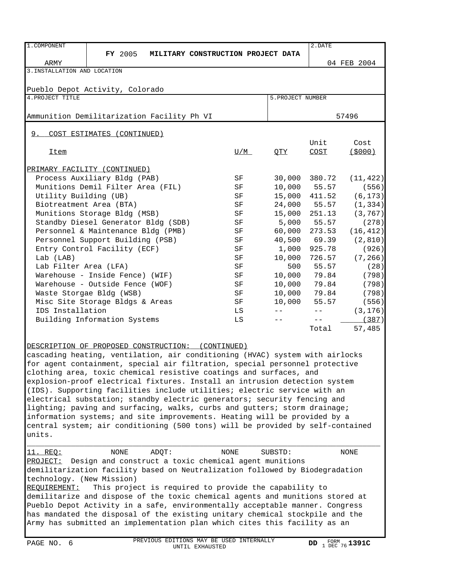| 1. COMPONENT                    |                                                                                |             |                   | 2.DATE        |             |  |  |  |
|---------------------------------|--------------------------------------------------------------------------------|-------------|-------------------|---------------|-------------|--|--|--|
|                                 | <b>FY</b> 2005<br>MILITARY CONSTRUCTION PROJECT DATA                           |             |                   |               |             |  |  |  |
| ARMY                            |                                                                                |             |                   |               | 04 FEB 2004 |  |  |  |
| 3. INSTALLATION AND LOCATION    |                                                                                |             |                   |               |             |  |  |  |
|                                 |                                                                                |             |                   |               |             |  |  |  |
| Pueblo Depot Activity, Colorado |                                                                                |             |                   |               |             |  |  |  |
| 4. PROJECT TITLE                |                                                                                |             | 5. PROJECT NUMBER |               |             |  |  |  |
|                                 |                                                                                |             |                   |               |             |  |  |  |
|                                 | Ammunition Demilitarization Facility Ph VI                                     |             |                   |               | 57496       |  |  |  |
|                                 |                                                                                |             |                   |               |             |  |  |  |
| 9.                              | COST ESTIMATES (CONTINUED)                                                     |             |                   |               |             |  |  |  |
|                                 |                                                                                |             |                   | Unit          | Cost        |  |  |  |
| <b>Item</b>                     |                                                                                | U/M         | QTY               | <b>COST</b>   | (5000)      |  |  |  |
|                                 |                                                                                |             |                   |               |             |  |  |  |
|                                 | PRIMARY FACILITY (CONTINUED)                                                   |             |                   |               |             |  |  |  |
|                                 | Process Auxiliary Bldg (PAB)                                                   | SF          |                   | 30,000 380.72 | (11, 422)   |  |  |  |
|                                 | Munitions Demil Filter Area (FIL)                                              | SF          |                   | 10,000 55.57  | (556)       |  |  |  |
| Utility Building (UB)           |                                                                                | SF          | 15,000            | 411.52        | (6, 173)    |  |  |  |
| Biotreatment Area (BTA)         |                                                                                | SF          | 24,000            | 55.57         | (1, 334)    |  |  |  |
|                                 | Munitions Storage Bldg (MSB)                                                   | SF          | 15,000            | 251.13        | (3, 767)    |  |  |  |
|                                 | Standby Diesel Generator Bldg (SDB)                                            | SF          | 5,000             | 55.57         | (278)       |  |  |  |
|                                 | Personnel & Maintenance Bldg (PMB)                                             | SF          | 60,000            | 273.53        | (16, 412)   |  |  |  |
|                                 | Personnel Support Building (PSB)                                               | SF          | 40,500            | 69.39         | (2, 810)    |  |  |  |
|                                 | Entry Control Facility (ECF)                                                   | SF          | 1,000             | 925.78        | (926)       |  |  |  |
| Lab (LAB)                       |                                                                                | SF          | 10,000            | 726.57        | (7, 266)    |  |  |  |
| Lab Filter Area (LFA)           |                                                                                | SF          | 500               | 55.57         | (28)        |  |  |  |
|                                 | Warehouse - Inside Fence) (WIF)                                                | SF          | 10,000            | 79.84         | (798)       |  |  |  |
|                                 | Warehouse - Outside Fence (WOF)                                                | SF          | 10,000            | 79.84         | (798)       |  |  |  |
|                                 | Waste Storgae Bldg (WSB)                                                       | SF          | 10,000            | 79.84         | (798)       |  |  |  |
|                                 | Misc Site Storage Bldgs & Areas                                                | SF          | 10,000            | 55.57         | (556)       |  |  |  |
| IDS Installation                |                                                                                | LS          | $- -$             | $- -$         |             |  |  |  |
|                                 |                                                                                |             | $- -$             | $- -$         | (3, 176)    |  |  |  |
|                                 | Building Information Systems                                                   | LS          |                   |               | (387)       |  |  |  |
|                                 |                                                                                |             |                   | Total         | 57,485      |  |  |  |
|                                 |                                                                                |             |                   |               |             |  |  |  |
|                                 | DESCRIPTION OF PROPOSED CONSTRUCTION: (CONTINUED)                              |             |                   |               |             |  |  |  |
|                                 | cascading heating, ventilation, air conditioning (HVAC) system with airlocks   |             |                   |               |             |  |  |  |
|                                 | for agent containment, special air filtration, special personnel protective    |             |                   |               |             |  |  |  |
|                                 | clothing area, toxic chemical resistive coatings and surfaces, and             |             |                   |               |             |  |  |  |
|                                 | explosion-proof electrical fixtures. Install an intrusion detection system     |             |                   |               |             |  |  |  |
|                                 | (IDS). Supporting facilities include utilities; electric service with an       |             |                   |               |             |  |  |  |
|                                 | electrical substation; standby electric generators; security fencing and       |             |                   |               |             |  |  |  |
|                                 | lighting; paving and surfacing, walks, curbs and gutters; storm drainage;      |             |                   |               |             |  |  |  |
|                                 | information systems; and site improvements. Heating will be provided by a      |             |                   |               |             |  |  |  |
|                                 | central system; air conditioning (500 tons) will be provided by self-contained |             |                   |               |             |  |  |  |
| units.                          |                                                                                |             |                   |               |             |  |  |  |
|                                 |                                                                                |             |                   |               |             |  |  |  |
| <u>11. REO:</u>                 | NONE<br>ADOT:                                                                  | <b>NONE</b> | SUBSTD:           |               | <b>NONE</b> |  |  |  |
| PROJECT:                        | Design and construct a toxic chemical agent munitions                          |             |                   |               |             |  |  |  |
|                                 | demilitarization facility based on Neutralization followed by Biodegradation   |             |                   |               |             |  |  |  |
| technology. (New Mission)       |                                                                                |             |                   |               |             |  |  |  |
| REQUIREMENT:                    | This project is required to provide the capability to                          |             |                   |               |             |  |  |  |
|                                 | demilitarize and dispose of the toxic chemical agents and munitions stored at  |             |                   |               |             |  |  |  |
|                                 | Pueblo Depot Activity in a safe, environmentally acceptable manner. Congress   |             |                   |               |             |  |  |  |
|                                 | has mandated the disposal of the existing unitary chemical stockpile and the   |             |                   |               |             |  |  |  |
|                                 |                                                                                |             |                   |               |             |  |  |  |
|                                 | Army has submitted an implementation plan which cites this facility as an      |             |                   |               |             |  |  |  |
|                                 |                                                                                |             |                   |               |             |  |  |  |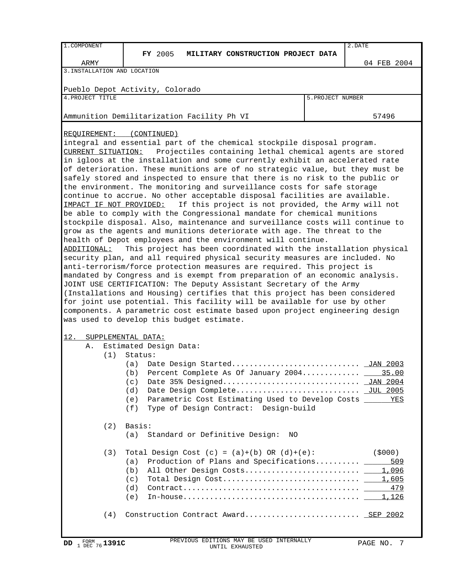| 1. COMPONENT | .DATE<br>$\overline{\phantom{a}}$ |
|--------------|-----------------------------------|

**FY 2005 MILITARY CONSTRUCTION PROJECT DATA** 

ARMY 04 FEB 2004

3.INSTALLATION AND LOCATION

Pueblo Depot Activity, Colorado

4. PROJECT TITLE 5. PROJECT NUMBER

Ammunition Demilitarization Facility Ph VI 1988 and 1988 1989 1989

REQUIREMENT: (CONTINUED)

integral and essential part of the chemical stockpile disposal program. CURRENT SITUATION: Projectiles containing lethal chemical agents are stored in igloos at the installation and some currently exhibit an accelerated rate of deterioration. These munitions are of no strategic value, but they must be safely stored and inspected to ensure that there is no risk to the public or the environment. The monitoring and surveillance costs for safe storage continue to accrue. No other acceptable disposal facilities are available. IMPACT IF NOT PROVIDED: If this project is not provided, the Army will not be able to comply with the Congressional mandate for chemical munitions stockpile disposal. Also, maintenance and surveillance costs will continue to grow as the agents and munitions deteriorate with age. The threat to the health of Depot employees and the environment will continue. ADDITIONAL: This project has been coordinated with the installation physical \_\_\_\_\_\_\_\_\_\_\_ security plan, and all required physical security measures are included. No anti-terrorism/force protection measures are required. This project is mandated by Congress and is exempt from preparation of an economic analysis. JOINT USE CERTIFICATION: The Deputy Assistant Secretary of the Army (Installations and Housing) certifies that this project has been considered for joint use potential. This facility will be available for use by other components. A parametric cost estimate based upon project engineering design was used to develop this budget estimate.

## 12. SUPPLEMENTAL DATA:

A. Estimated Design Data:

 $(1)$  Status:

|  | uri platus. |                                                                 |  |
|--|-------------|-----------------------------------------------------------------|--|
|  | (a) =       |                                                                 |  |
|  | (b)         | Percent Complete As Of January 2004 35.00                       |  |
|  |             |                                                                 |  |
|  |             |                                                                 |  |
|  |             | (e) Parametric Cost Estimating Used to Develop Costs ______ YES |  |
|  |             | (f) Type of Design Contract: Design-build                       |  |
|  |             |                                                                 |  |
|  |             |                                                                 |  |

## (2) Basis:

(a) Standard or Definitive Design: NO

| Total Design Cost $(c) = (a)+(b)$ OR $(d)+(e)$ :                                                                         | (\$000) |
|--------------------------------------------------------------------------------------------------------------------------|---------|
| (a) Production of Plans and Specifications $509$                                                                         |         |
|                                                                                                                          |         |
|                                                                                                                          |         |
| $\text{Contract} \dots \dots \dots \dots \dots \dots \dots \dots \dots \dots \dots \dots \dots \qquad \qquad 479$<br>(d) |         |
|                                                                                                                          |         |
| $(4)$ Construction Contract Award SEP 2002                                                                               |         |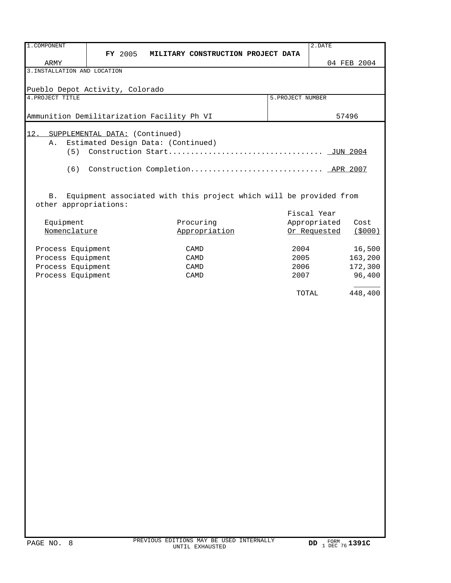| 1. COMPONENT                               |                |                                    |                                                                    |                   | 2.DATE       |                   |
|--------------------------------------------|----------------|------------------------------------|--------------------------------------------------------------------|-------------------|--------------|-------------------|
|                                            | <b>FY</b> 2005 |                                    | MILITARY CONSTRUCTION PROJECT DATA                                 |                   |              |                   |
| ARMY                                       |                |                                    |                                                                    |                   |              | 04 FEB 2004       |
| 3. INSTALLATION AND LOCATION               |                |                                    |                                                                    |                   |              |                   |
| Pueblo Depot Activity, Colorado            |                |                                    |                                                                    |                   |              |                   |
| 4. PROJECT TITLE                           |                |                                    |                                                                    | 5. PROJECT NUMBER |              |                   |
|                                            |                |                                    |                                                                    |                   |              |                   |
| Ammunition Demilitarization Facility Ph VI |                |                                    |                                                                    |                   |              | 57496             |
|                                            |                |                                    |                                                                    |                   |              |                   |
| 12.<br>SUPPLEMENTAL DATA: (Continued)      |                |                                    |                                                                    |                   |              |                   |
| Α.                                         |                | Estimated Design Data: (Continued) |                                                                    |                   |              |                   |
|                                            |                |                                    |                                                                    |                   |              |                   |
| (6)                                        |                |                                    |                                                                    |                   |              |                   |
|                                            |                |                                    |                                                                    |                   |              |                   |
|                                            |                |                                    |                                                                    |                   |              |                   |
| <b>B</b> .                                 |                |                                    | Equipment associated with this project which will be provided from |                   |              |                   |
| other appropriations:                      |                |                                    |                                                                    |                   |              |                   |
|                                            |                |                                    |                                                                    |                   | Fiscal Year  |                   |
| Equipment                                  |                |                                    | Procuring                                                          |                   | Appropriated | Cost              |
| Nomenclature                               |                |                                    | Appropriation                                                      |                   | Or Requested | (5000)            |
|                                            |                |                                    |                                                                    |                   |              |                   |
| Process Equipment<br>Process Equipment     |                |                                    | CAMD<br>CAMD                                                       | 2004<br>2005      |              | 16,500<br>163,200 |
| Process Equipment                          |                |                                    | CAMD                                                               | 2006              |              | 172,300           |
| Process Equipment                          |                |                                    | CAMD                                                               | 2007              |              | 96,400            |
|                                            |                |                                    |                                                                    |                   |              |                   |
|                                            |                |                                    |                                                                    | TOTAL             |              | 448,400           |
|                                            |                |                                    |                                                                    |                   |              |                   |
|                                            |                |                                    |                                                                    |                   |              |                   |
|                                            |                |                                    |                                                                    |                   |              |                   |
|                                            |                |                                    |                                                                    |                   |              |                   |
|                                            |                |                                    |                                                                    |                   |              |                   |
|                                            |                |                                    |                                                                    |                   |              |                   |
|                                            |                |                                    |                                                                    |                   |              |                   |
|                                            |                |                                    |                                                                    |                   |              |                   |
|                                            |                |                                    |                                                                    |                   |              |                   |
|                                            |                |                                    |                                                                    |                   |              |                   |
|                                            |                |                                    |                                                                    |                   |              |                   |
|                                            |                |                                    |                                                                    |                   |              |                   |
|                                            |                |                                    |                                                                    |                   |              |                   |
|                                            |                |                                    |                                                                    |                   |              |                   |
|                                            |                |                                    |                                                                    |                   |              |                   |
|                                            |                |                                    |                                                                    |                   |              |                   |
|                                            |                |                                    |                                                                    |                   |              |                   |
|                                            |                |                                    |                                                                    |                   |              |                   |
|                                            |                |                                    |                                                                    |                   |              |                   |
|                                            |                |                                    |                                                                    |                   |              |                   |
|                                            |                |                                    |                                                                    |                   |              |                   |
|                                            |                |                                    |                                                                    |                   |              |                   |
|                                            |                |                                    |                                                                    |                   |              |                   |
|                                            |                |                                    |                                                                    |                   |              |                   |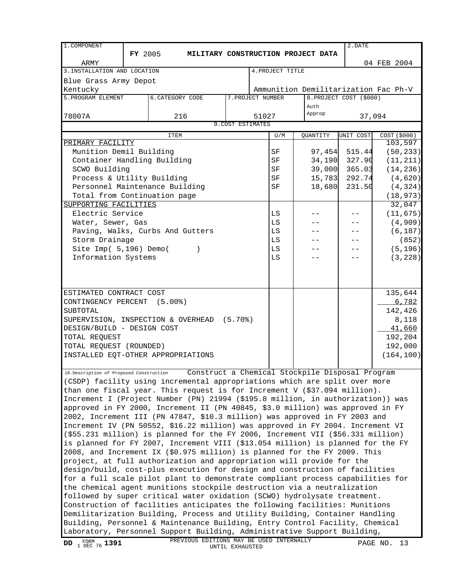| 1. COMPONENT                                                                                                                                        |                |                         |                                    |                   |                   |                  |                | 2.DATE                  |                                      |
|-----------------------------------------------------------------------------------------------------------------------------------------------------|----------------|-------------------------|------------------------------------|-------------------|-------------------|------------------|----------------|-------------------------|--------------------------------------|
|                                                                                                                                                     | <b>FY 2005</b> |                         | MILITARY CONSTRUCTION PROJECT DATA |                   |                   |                  |                |                         |                                      |
| ARMY                                                                                                                                                |                |                         |                                    |                   |                   |                  |                |                         | 04 FEB 2004                          |
| 3. INSTALLATION AND LOCATION                                                                                                                        |                |                         |                                    |                   |                   | 4. PROJECT TITLE |                |                         |                                      |
| Blue Grass Army Depot                                                                                                                               |                |                         |                                    |                   |                   |                  |                |                         |                                      |
| Kentucky                                                                                                                                            |                |                         |                                    |                   |                   |                  |                |                         | Ammunition Demilitarization Fac Ph-V |
| 5. PROGRAM ELEMENT                                                                                                                                  |                | <b>6. CATEGORY CODE</b> |                                    |                   | 7. PROJECT NUMBER |                  |                | 8. PROJECT COST (\$000) |                                      |
|                                                                                                                                                     |                |                         |                                    |                   |                   |                  | Auth<br>Approp |                         |                                      |
| 78007A                                                                                                                                              |                |                         | 216                                | 9. COST ESTIMATES | 51027             |                  |                | 37,094                  |                                      |
|                                                                                                                                                     |                |                         |                                    |                   |                   |                  |                |                         |                                      |
| PRIMARY FACILITY                                                                                                                                    |                | <b>ITEM</b>             |                                    |                   |                   | U/M              | QUANTITY       | UNIT COST               | COST (\$000)<br>103,597              |
| Munition Demil Building                                                                                                                             |                |                         |                                    |                   |                   | SF               |                |                         |                                      |
| Container Handling Building                                                                                                                         |                |                         |                                    |                   |                   | SF               | 34,190         | 97,454 515.44<br>327.90 | (50, 233)<br>(11, 211)               |
| SCWO Building                                                                                                                                       |                |                         |                                    |                   |                   | SF               | 39,000         | 365.03                  | (14, 236)                            |
| Process & Utility Building                                                                                                                          |                |                         |                                    |                   |                   | SF               | 15,783         | 292.74                  | (4,620)                              |
| Personnel Maintenance Building                                                                                                                      |                |                         |                                    |                   |                   | SF               | 18,680         | 231.50                  | (4, 324)                             |
| Total from Continuation page                                                                                                                        |                |                         |                                    |                   |                   |                  |                |                         | (18, 973)                            |
| SUPPORTING FACILITIES                                                                                                                               |                |                         |                                    |                   |                   |                  |                |                         | 32,047                               |
| Electric Service                                                                                                                                    |                |                         |                                    |                   |                   | LS               |                |                         | (11, 675)                            |
| Water, Sewer, Gas                                                                                                                                   |                |                         |                                    |                   |                   | LS               |                |                         | (4,909)                              |
| Paving, Walks, Curbs And Gutters                                                                                                                    |                |                         |                                    |                   |                   | LS               |                |                         | (6, 187)                             |
| Storm Drainage                                                                                                                                      |                |                         |                                    |                   |                   | LS               |                |                         | (852)                                |
| Site Imp( 5,196) Demo(                                                                                                                              |                |                         |                                    |                   |                   | LS               |                | - -                     | (5, 196)                             |
| Information Systems                                                                                                                                 |                |                         |                                    |                   |                   | LS               |                |                         | (3, 228)                             |
|                                                                                                                                                     |                |                         |                                    |                   |                   |                  |                |                         |                                      |
|                                                                                                                                                     |                |                         |                                    |                   |                   |                  |                |                         |                                      |
|                                                                                                                                                     |                |                         |                                    |                   |                   |                  |                |                         |                                      |
| ESTIMATED CONTRACT COST                                                                                                                             |                |                         |                                    |                   |                   |                  |                |                         | 135,644                              |
| CONTINGENCY PERCENT (5.00%)                                                                                                                         |                |                         |                                    |                   |                   |                  |                |                         | 6,782                                |
| SUBTOTAL                                                                                                                                            |                |                         |                                    |                   |                   |                  |                |                         | 142,426                              |
| SUPERVISION, INSPECTION & OVERHEAD (5.70%)                                                                                                          |                |                         |                                    |                   |                   |                  |                |                         | 8,118                                |
| DESIGN/BUILD - DESIGN COST                                                                                                                          |                |                         |                                    |                   |                   |                  |                |                         | 41,660                               |
| TOTAL REQUEST                                                                                                                                       |                |                         |                                    |                   |                   |                  |                |                         | 192,204                              |
| TOTAL REQUEST (ROUNDED)                                                                                                                             |                |                         |                                    |                   |                   |                  |                |                         | 192,000                              |
| INSTALLED EQT-OTHER APPROPRIATIONS                                                                                                                  |                |                         |                                    |                   |                   |                  |                |                         | (164, 100)                           |
|                                                                                                                                                     |                |                         |                                    |                   |                   |                  |                |                         |                                      |
| 10.Description of Proposed Construction (CONStruct a Chemical Stockpile Disposal Program                                                            |                |                         |                                    |                   |                   |                  |                |                         |                                      |
| (CSDP) facility using incremental appropriations which are split over more                                                                          |                |                         |                                    |                   |                   |                  |                |                         |                                      |
| than one fiscal year. This request is for Increment V $($ \$37.094 million $)$ .                                                                    |                |                         |                                    |                   |                   |                  |                |                         |                                      |
| Increment I (Project Number (PN) 21994 (\$195.8 million, in authorization)) was                                                                     |                |                         |                                    |                   |                   |                  |                |                         |                                      |
| approved in FY 2000, Increment II (PN 40845, \$3.0 million) was approved in FY                                                                      |                |                         |                                    |                   |                   |                  |                |                         |                                      |
| 2002, Increment III (PN 47847, \$10.3 million) was approved in FY 2003 and                                                                          |                |                         |                                    |                   |                   |                  |                |                         |                                      |
| Increment IV (PN 50552, \$16.22 million) was approved in FY 2004. Increment VI                                                                      |                |                         |                                    |                   |                   |                  |                |                         |                                      |
| $($ \$55.231 million) is planned for the FY 2006, Increment VII (\$56.331 million)                                                                  |                |                         |                                    |                   |                   |                  |                |                         |                                      |
| is planned for FY 2007, Increment VIII (\$13.054 million) is planned for the FY                                                                     |                |                         |                                    |                   |                   |                  |                |                         |                                      |
| 2008, and Increment IX (\$0.975 million) is planned for the FY 2009. This<br>project, at full authorization and appropriation will provide for the  |                |                         |                                    |                   |                   |                  |                |                         |                                      |
|                                                                                                                                                     |                |                         |                                    |                   |                   |                  |                |                         |                                      |
| design/build, cost-plus execution for design and construction of facilities                                                                         |                |                         |                                    |                   |                   |                  |                |                         |                                      |
| for a full scale pilot plant to demonstrate compliant process capabilities for                                                                      |                |                         |                                    |                   |                   |                  |                |                         |                                      |
| the chemical agent munitions stockpile destruction via a neutralization<br>followed by super critical water oxidation (SCWO) hydrolysate treatment. |                |                         |                                    |                   |                   |                  |                |                         |                                      |
| Construction of facilities anticipates the following facilities: Munitions                                                                          |                |                         |                                    |                   |                   |                  |                |                         |                                      |
| Demilitarization Building, Process and Utility Building, Container Handling                                                                         |                |                         |                                    |                   |                   |                  |                |                         |                                      |
| Building, Personnel & Maintenance Building, Entry Control Facility, Chemical                                                                        |                |                         |                                    |                   |                   |                  |                |                         |                                      |
| Laboratory, Personnel Support Building, Administrative Support Building,                                                                            |                |                         |                                    |                   |                   |                  |                |                         |                                      |
|                                                                                                                                                     |                |                         |                                    |                   |                   |                  |                |                         |                                      |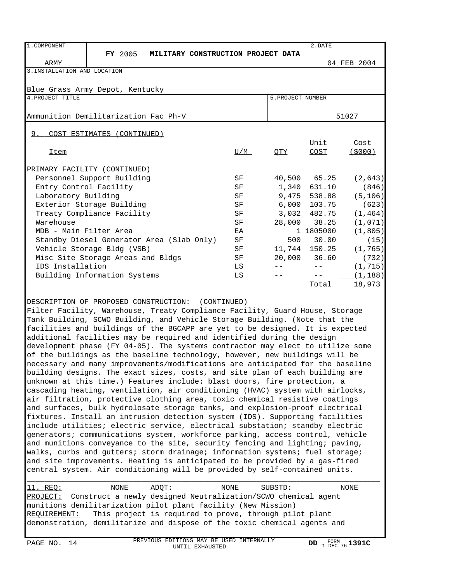| 1. COMPONENT                         |                                           |                                    |     |                   | 2.DATE        |             |
|--------------------------------------|-------------------------------------------|------------------------------------|-----|-------------------|---------------|-------------|
|                                      | <b>FY</b> 2005                            | MILITARY CONSTRUCTION PROJECT DATA |     |                   |               |             |
| ARMY                                 |                                           |                                    |     |                   |               | 04 FEB 2004 |
| 3. INSTALLATION AND LOCATION         |                                           |                                    |     |                   |               |             |
|                                      |                                           |                                    |     |                   |               |             |
| Blue Grass Army Depot, Kentucky      |                                           |                                    |     |                   |               |             |
| 4. PROJECT TITLE                     |                                           |                                    |     | 5. PROJECT NUMBER |               |             |
|                                      |                                           |                                    |     |                   |               |             |
| Ammunition Demilitarization Fac Ph-V |                                           |                                    |     |                   |               | 51027       |
|                                      |                                           |                                    |     |                   |               |             |
| 9.                                   | COST ESTIMATES (CONTINUED)                |                                    |     |                   |               |             |
|                                      |                                           |                                    |     |                   | Unit          | Cost        |
| Item                                 |                                           |                                    | U/M | QTY               | COST          | (\$000)     |
|                                      |                                           |                                    |     |                   |               |             |
| PRIMARY FACILITY (CONTINUED)         |                                           |                                    |     |                   |               |             |
|                                      | Personnel Support Building                |                                    | SF  |                   | 40,500 65.25  | (2, 643)    |
| Entry Control Facility               |                                           |                                    | SF  |                   | 1,340 631.10  | (846)       |
| Laboratory Building                  |                                           |                                    | SF  |                   | 9,475 538.88  | (5, 106)    |
|                                      | Exterior Storage Building                 |                                    | SF  |                   | 6,000 103.75  | (623)       |
|                                      | Treaty Compliance Facility                |                                    | SF  |                   | 3,032 482.75  | (1, 464)    |
| Warehouse                            |                                           |                                    | SF  |                   | 28,000 38.25  | (1,071)     |
| MDB - Main Filter Area               |                                           |                                    | EA  |                   | 1 1805000     | (1, 805)    |
|                                      | Standby Diesel Generator Area (Slab Only) |                                    | SF  |                   | 500 30.00     | (15)        |
|                                      | Vehicle Storage Bldg (VSB)                |                                    | SF  |                   | 11,744 150.25 | (1, 765)    |
|                                      | Misc Site Storage Areas and Bldgs         |                                    | SF  |                   | 20,000 36.60  | (732)       |
| IDS Installation                     |                                           |                                    | LS  |                   |               | (1, 715)    |
|                                      | Building Information Systems              |                                    | LS  |                   |               | (1, 188)    |
|                                      |                                           |                                    |     |                   | Total         | 18,973      |

DESCRIPTION OF PROPOSED CONSTRUCTION: (CONTINUED)

Filter Facility, Warehouse, Treaty Compliance Facility, Guard House, Storage Tank Building, SCWO Building, and Vehicle Storage Building. (Note that the facilities and buildings of the BGCAPP are yet to be designed. It is expected additional facilities may be required and identified during the design development phase (FY 04-05). The systems contractor may elect to utilize some of the buildings as the baseline technology, however, new buildings will be necessary and many improvements/modifications are anticipated for the baseline building designs. The exact sizes, costs, and site plan of each building are unknown at this time.) Features include: blast doors, fire protection, a cascading heating, ventilation, air conditioning (HVAC) system with airlocks, air filtration, protective clothing area, toxic chemical resistive coatings and surfaces, bulk hydrolosate storage tanks, and explosion-proof electrical fixtures. Install an intrusion detection system (IDS). Supporting facilities include utilities; electric service, electrical substation; standby electric generators; communications system, workforce parking, access control, vehicle and munitions conveyance to the site, security fencing and lighting; paving, walks, curbs and gutters; storm drainage; information systems; fuel storage; and site improvements. Heating is anticipated to be provided by a gas-fired central system. Air conditioning will be provided by self-contained units.

11. REQ: NONE ADQT: NONE SUBSTD: NONE \_\_\_\_\_\_\_\_ PROJECT: Construct a newly designed Neutralization/SCWO chemical agent munitions demilitarization pilot plant facility (New Mission) <u>REQUIREMENT:</u> This project is required to prove, through pilot plant demonstration, demilitarize and dispose of the toxic chemical agents and

\_\_\_\_\_\_\_\_\_\_\_\_\_\_\_\_\_\_\_\_\_\_\_\_\_\_\_\_\_\_\_\_\_\_\_\_\_\_\_\_\_\_\_\_\_\_\_\_\_\_\_\_\_\_\_\_\_\_\_\_\_\_\_\_\_\_\_\_\_\_\_\_\_\_\_\_\_\_\_\_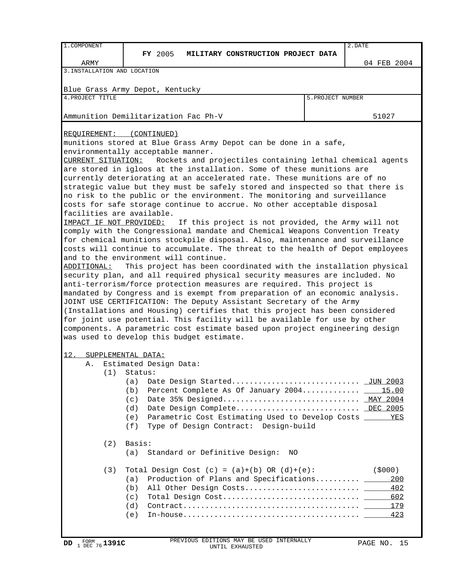| 1. COMPONENT                         | 2.DATE                                                                                                                                                   |                   |             |  |  |  |  |  |  |
|--------------------------------------|----------------------------------------------------------------------------------------------------------------------------------------------------------|-------------------|-------------|--|--|--|--|--|--|
|                                      | <b>FY</b> 2005<br>MILITARY CONSTRUCTION PROJECT DATA                                                                                                     |                   |             |  |  |  |  |  |  |
| ARMY<br>3. INSTALLATION AND LOCATION |                                                                                                                                                          |                   | 04 FEB 2004 |  |  |  |  |  |  |
|                                      |                                                                                                                                                          |                   |             |  |  |  |  |  |  |
|                                      | Blue Grass Army Depot, Kentucky                                                                                                                          |                   |             |  |  |  |  |  |  |
| 4. PROJECT TITLE                     |                                                                                                                                                          | 5. PROJECT NUMBER |             |  |  |  |  |  |  |
|                                      |                                                                                                                                                          |                   |             |  |  |  |  |  |  |
|                                      | Ammunition Demilitarization Fac Ph-V                                                                                                                     |                   | 51027       |  |  |  |  |  |  |
|                                      |                                                                                                                                                          |                   |             |  |  |  |  |  |  |
| REQUIREMENT:                         | (CONTINUED)                                                                                                                                              |                   |             |  |  |  |  |  |  |
|                                      | munitions stored at Blue Grass Army Depot can be done in a safe,                                                                                         |                   |             |  |  |  |  |  |  |
|                                      | environmentally acceptable manner.                                                                                                                       |                   |             |  |  |  |  |  |  |
| CURRENT SITUATION:                   | Rockets and projectiles containing lethal chemical agents                                                                                                |                   |             |  |  |  |  |  |  |
|                                      | are stored in igloos at the installation. Some of these munitions are                                                                                    |                   |             |  |  |  |  |  |  |
|                                      | currently deteriorating at an accelerated rate. These munitions are of no                                                                                |                   |             |  |  |  |  |  |  |
|                                      | strategic value but they must be safely stored and inspected so that there is                                                                            |                   |             |  |  |  |  |  |  |
|                                      | no risk to the public or the environment. The monitoring and surveillance<br>costs for safe storage continue to accrue. No other acceptable disposal     |                   |             |  |  |  |  |  |  |
| facilities are available.            |                                                                                                                                                          |                   |             |  |  |  |  |  |  |
| IMPACT IF NOT PROVIDED:              | If this project is not provided, the Army will not                                                                                                       |                   |             |  |  |  |  |  |  |
|                                      | comply with the Congressional mandate and Chemical Weapons Convention Treaty                                                                             |                   |             |  |  |  |  |  |  |
|                                      | for chemical munitions stockpile disposal. Also, maintenance and surveillance                                                                            |                   |             |  |  |  |  |  |  |
|                                      | costs will continue to accumulate. The threat to the health of Depot employees                                                                           |                   |             |  |  |  |  |  |  |
|                                      | and to the environment will continue.                                                                                                                    |                   |             |  |  |  |  |  |  |
| ADDITIONAL:                          | This project has been coordinated with the installation physical                                                                                         |                   |             |  |  |  |  |  |  |
|                                      | security plan, and all required physical security measures are included. No                                                                              |                   |             |  |  |  |  |  |  |
|                                      | anti-terrorism/force protection measures are required. This project is                                                                                   |                   |             |  |  |  |  |  |  |
|                                      | mandated by Congress and is exempt from preparation of an economic analysis.                                                                             |                   |             |  |  |  |  |  |  |
|                                      | JOINT USE CERTIFICATION: The Deputy Assistant Secretary of the Army                                                                                      |                   |             |  |  |  |  |  |  |
|                                      | (Installations and Housing) certifies that this project has been considered<br>for joint use potential. This facility will be available for use by other |                   |             |  |  |  |  |  |  |
|                                      | components. A parametric cost estimate based upon project engineering design                                                                             |                   |             |  |  |  |  |  |  |
|                                      | was used to develop this budget estimate.                                                                                                                |                   |             |  |  |  |  |  |  |
|                                      |                                                                                                                                                          |                   |             |  |  |  |  |  |  |
| 12.                                  | SUPPLEMENTAL DATA:                                                                                                                                       |                   |             |  |  |  |  |  |  |
| Α.                                   | Estimated Design Data:                                                                                                                                   |                   |             |  |  |  |  |  |  |
| (1)                                  | Status:                                                                                                                                                  |                   |             |  |  |  |  |  |  |
|                                      | (a)                                                                                                                                                      |                   |             |  |  |  |  |  |  |
|                                      | Percent Complete As Of January 2004 15.00<br>(b)                                                                                                         |                   |             |  |  |  |  |  |  |
|                                      | (c)                                                                                                                                                      |                   |             |  |  |  |  |  |  |
|                                      | (d)                                                                                                                                                      |                   |             |  |  |  |  |  |  |
|                                      | Parametric Cost Estimating Used to Develop Costs ______ YES<br>(e)                                                                                       |                   |             |  |  |  |  |  |  |
|                                      | (f)<br>Type of Design Contract: Design-build                                                                                                             |                   |             |  |  |  |  |  |  |
| (2)                                  | Basis:                                                                                                                                                   |                   |             |  |  |  |  |  |  |
|                                      | Standard or Definitive Design:<br>(a)<br>NO.                                                                                                             |                   |             |  |  |  |  |  |  |
|                                      |                                                                                                                                                          |                   |             |  |  |  |  |  |  |
| (3)                                  | Total Design Cost $(c) = (a)+(b) OR (d)+(e)$ :                                                                                                           |                   | (\$000)     |  |  |  |  |  |  |
|                                      | Production of Plans and Specifications _____<br>(a)                                                                                                      |                   | 200         |  |  |  |  |  |  |
|                                      | (b)                                                                                                                                                      |                   | 402         |  |  |  |  |  |  |
|                                      | (c)                                                                                                                                                      |                   | 602         |  |  |  |  |  |  |
|                                      | (d)                                                                                                                                                      |                   |             |  |  |  |  |  |  |
|                                      | (e)                                                                                                                                                      |                   |             |  |  |  |  |  |  |
|                                      |                                                                                                                                                          |                   |             |  |  |  |  |  |  |
|                                      |                                                                                                                                                          |                   |             |  |  |  |  |  |  |